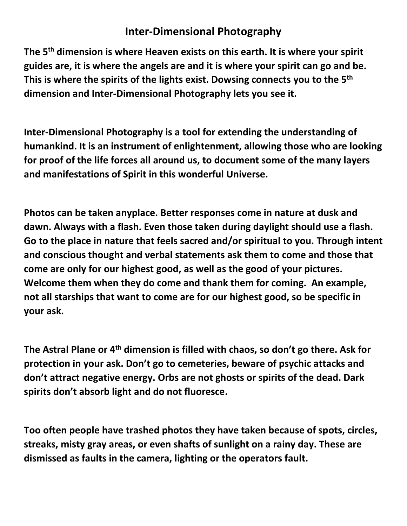## **Inter-Dimensional Photography**

**The 5th dimension is where Heaven exists on this earth. It is where your spirit guides are, it is where the angels are and it is where your spirit can go and be. This is where the spirits of the lights exist. Dowsing connects you to the 5th dimension and Inter-Dimensional Photography lets you see it.**

**Inter-Dimensional Photography is a tool for extending the understanding of humankind. It is an instrument of enlightenment, allowing those who are looking for proof of the life forces all around us, to document some of the many layers and manifestations of Spirit in this wonderful Universe.** 

**Photos can be taken anyplace. Better responses come in nature at dusk and dawn. Always with a flash. Even those taken during daylight should use a flash. Go to the place in nature that feels sacred and/or spiritual to you. Through intent and conscious thought and verbal statements ask them to come and those that come are only for our highest good, as well as the good of your pictures. Welcome them when they do come and thank them for coming. An example, not all starships that want to come are for our highest good, so be specific in your ask.**

**The Astral Plane or 4th dimension is filled with chaos, so don't go there. Ask for protection in your ask. Don't go to cemeteries, beware of psychic attacks and don't attract negative energy. Orbs are not ghosts or spirits of the dead. Dark spirits don't absorb light and do not fluoresce.**

**Too often people have trashed photos they have taken because of spots, circles, streaks, misty gray areas, or even shafts of sunlight on a rainy day. These are dismissed as faults in the camera, lighting or the operators fault.**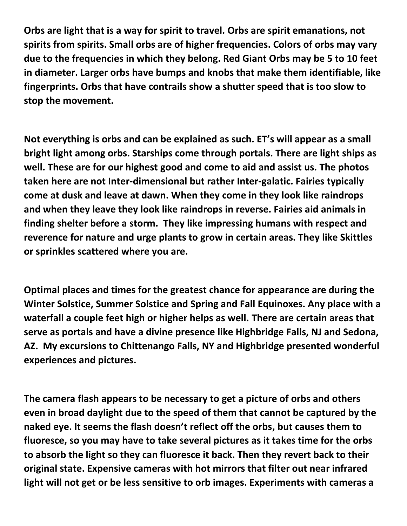**Orbs are light that is a way for spirit to travel. Orbs are spirit emanations, not spirits from spirits. Small orbs are of higher frequencies. Colors of orbs may vary due to the frequencies in which they belong. Red Giant Orbs may be 5 to 10 feet in diameter. Larger orbs have bumps and knobs that make them identifiable, like fingerprints. Orbs that have contrails show a shutter speed that is too slow to stop the movement.**

**Not everything is orbs and can be explained as such. ET's will appear as a small bright light among orbs. Starships come through portals. There are light ships as well. These are for our highest good and come to aid and assist us. The photos taken here are not Inter-dimensional but rather Inter-galatic. Fairies typically come at dusk and leave at dawn. When they come in they look like raindrops and when they leave they look like raindrops in reverse. Fairies aid animals in finding shelter before a storm. They like impressing humans with respect and reverence for nature and urge plants to grow in certain areas. They like Skittles or sprinkles scattered where you are.** 

**Optimal places and times for the greatest chance for appearance are during the Winter Solstice, Summer Solstice and Spring and Fall Equinoxes. Any place with a waterfall a couple feet high or higher helps as well. There are certain areas that serve as portals and have a divine presence like Highbridge Falls, NJ and Sedona, AZ. My excursions to Chittenango Falls, NY and Highbridge presented wonderful experiences and pictures.**

**The camera flash appears to be necessary to get a picture of orbs and others even in broad daylight due to the speed of them that cannot be captured by the naked eye. It seems the flash doesn't reflect off the orbs, but causes them to fluoresce, so you may have to take several pictures as it takes time for the orbs to absorb the light so they can fluoresce it back. Then they revert back to their original state. Expensive cameras with hot mirrors that filter out near infrared light will not get or be less sensitive to orb images. Experiments with cameras a**